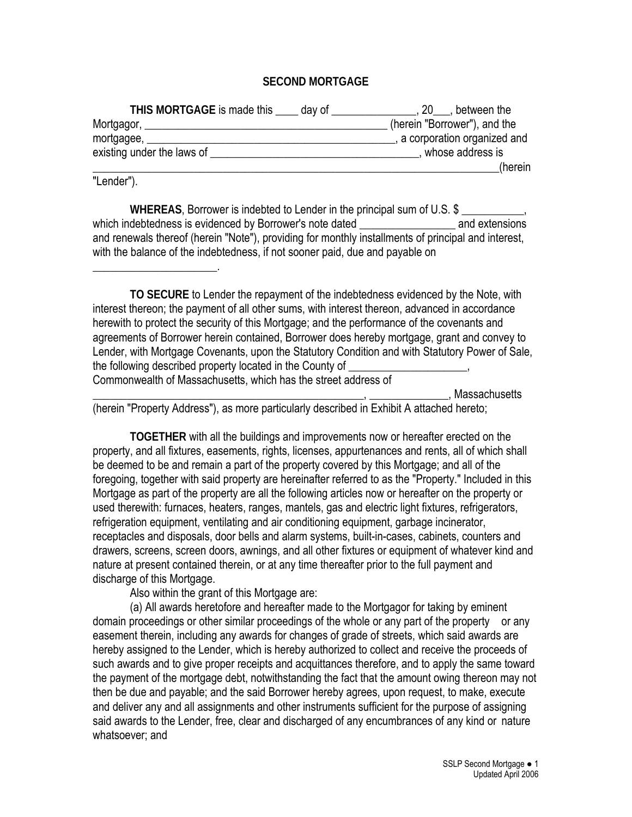### **SECOND MORTGAGE**

| THIS MORTGAGE is made this | day of | , between the                 |
|----------------------------|--------|-------------------------------|
| Mortgagor,                 |        | (herein "Borrower"), and the  |
| mortgagee,                 |        | , a corporation organized and |
| existing under the laws of |        | whose address is              |
|                            |        | (herein                       |

"Lender").

\_\_\_\_\_\_\_\_\_\_\_\_\_\_\_\_\_\_\_\_\_\_.

WHEREAS, Borrower is indebted to Lender in the principal sum of U.S. \$ which indebtedness is evidenced by Borrower's note dated \_\_\_\_\_\_\_\_\_\_\_\_\_\_\_\_\_\_\_\_\_\_ and extensions and renewals thereof (herein "Note"), providing for monthly installments of principal and interest, with the balance of the indebtedness, if not sooner paid, due and payable on

**TO SECURE** to Lender the repayment of the indebtedness evidenced by the Note, with interest thereon; the payment of all other sums, with interest thereon, advanced in accordance herewith to protect the security of this Mortgage; and the performance of the covenants and agreements of Borrower herein contained, Borrower does hereby mortgage, grant and convey to Lender, with Mortgage Covenants, upon the Statutory Condition and with Statutory Power of Sale, the following described property located in the County of Commonwealth of Massachusetts, which has the street address of

\_\_\_\_\_\_\_\_\_\_\_\_\_\_\_\_\_\_\_\_\_\_\_\_\_\_\_\_\_\_\_\_\_\_\_\_\_\_\_\_\_\_\_\_\_\_\_\_, \_\_\_\_\_\_\_\_\_\_\_\_\_\_, Massachusetts

(herein "Property Address"), as more particularly described in Exhibit A attached hereto;

**TOGETHER** with all the buildings and improvements now or hereafter erected on the property, and all fixtures, easements, rights, licenses, appurtenances and rents, all of which shall be deemed to be and remain a part of the property covered by this Mortgage; and all of the foregoing, together with said property are hereinafter referred to as the "Property." Included in this Mortgage as part of the property are all the following articles now or hereafter on the property or used therewith: furnaces, heaters, ranges, mantels, gas and electric light fixtures, refrigerators, refrigeration equipment, ventilating and air conditioning equipment, garbage incinerator, receptacles and disposals, door bells and alarm systems, built-in-cases, cabinets, counters and drawers, screens, screen doors, awnings, and all other fixtures or equipment of whatever kind and nature at present contained therein, or at any time thereafter prior to the full payment and discharge of this Mortgage.

Also within the grant of this Mortgage are:

(a) All awards heretofore and hereafter made to the Mortgagor for taking by eminent domain proceedings or other similar proceedings of the whole or any part of the property or any easement therein, including any awards for changes of grade of streets, which said awards are hereby assigned to the Lender, which is hereby authorized to collect and receive the proceeds of such awards and to give proper receipts and acquittances therefore, and to apply the same toward the payment of the mortgage debt, notwithstanding the fact that the amount owing thereon may not then be due and payable; and the said Borrower hereby agrees, upon request, to make, execute and deliver any and all assignments and other instruments sufficient for the purpose of assigning said awards to the Lender, free, clear and discharged of any encumbrances of any kind or nature whatsoever; and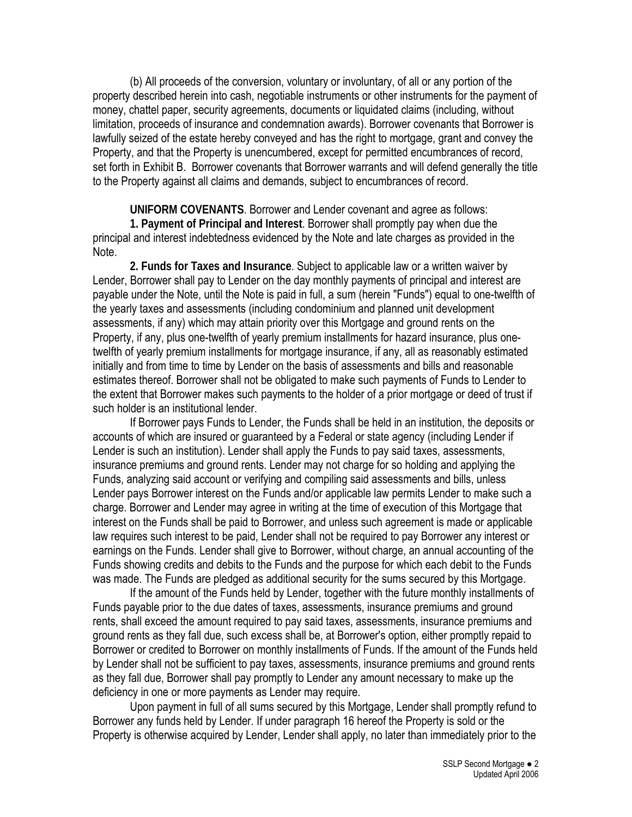(b) All proceeds of the conversion, voluntary or involuntary, of all or any portion of the property described herein into cash, negotiable instruments or other instruments for the payment of money, chattel paper, security agreements, documents or liquidated claims (including, without limitation, proceeds of insurance and condemnation awards). Borrower covenants that Borrower is lawfully seized of the estate hereby conveyed and has the right to mortgage, grant and convey the Property, and that the Property is unencumbered, except for permitted encumbrances of record, set forth in Exhibit B. Borrower covenants that Borrower warrants and will defend generally the title to the Property against all claims and demands, subject to encumbrances of record.

#### **UNIFORM COVENANTS**. Borrower and Lender covenant and agree as follows:

**1. Payment of Principal and Interest**. Borrower shall promptly pay when due the principal and interest indebtedness evidenced by the Note and late charges as provided in the Note.

**2. Funds for Taxes and Insurance**. Subject to applicable law or a written waiver by Lender, Borrower shall pay to Lender on the day monthly payments of principal and interest are payable under the Note, until the Note is paid in full, a sum (herein "Funds") equal to one-twelfth of the yearly taxes and assessments (including condominium and planned unit development assessments, if any) which may attain priority over this Mortgage and ground rents on the Property, if any, plus one-twelfth of yearly premium installments for hazard insurance, plus onetwelfth of yearly premium installments for mortgage insurance, if any, all as reasonably estimated initially and from time to time by Lender on the basis of assessments and bills and reasonable estimates thereof. Borrower shall not be obligated to make such payments of Funds to Lender to the extent that Borrower makes such payments to the holder of a prior mortgage or deed of trust if such holder is an institutional lender.

If Borrower pays Funds to Lender, the Funds shall be held in an institution, the deposits or accounts of which are insured or guaranteed by a Federal or state agency (including Lender if Lender is such an institution). Lender shall apply the Funds to pay said taxes, assessments, insurance premiums and ground rents. Lender may not charge for so holding and applying the Funds, analyzing said account or verifying and compiling said assessments and bills, unless Lender pays Borrower interest on the Funds and/or applicable law permits Lender to make such a charge. Borrower and Lender may agree in writing at the time of execution of this Mortgage that interest on the Funds shall be paid to Borrower, and unless such agreement is made or applicable law requires such interest to be paid, Lender shall not be required to pay Borrower any interest or earnings on the Funds. Lender shall give to Borrower, without charge, an annual accounting of the Funds showing credits and debits to the Funds and the purpose for which each debit to the Funds was made. The Funds are pledged as additional security for the sums secured by this Mortgage.

If the amount of the Funds held by Lender, together with the future monthly installments of Funds payable prior to the due dates of taxes, assessments, insurance premiums and ground rents, shall exceed the amount required to pay said taxes, assessments, insurance premiums and ground rents as they fall due, such excess shall be, at Borrower's option, either promptly repaid to Borrower or credited to Borrower on monthly installments of Funds. If the amount of the Funds held by Lender shall not be sufficient to pay taxes, assessments, insurance premiums and ground rents as they fall due, Borrower shall pay promptly to Lender any amount necessary to make up the deficiency in one or more payments as Lender may require.

Upon payment in full of all sums secured by this Mortgage, Lender shall promptly refund to Borrower any funds held by Lender. If under paragraph 16 hereof the Property is sold or the Property is otherwise acquired by Lender, Lender shall apply, no later than immediately prior to the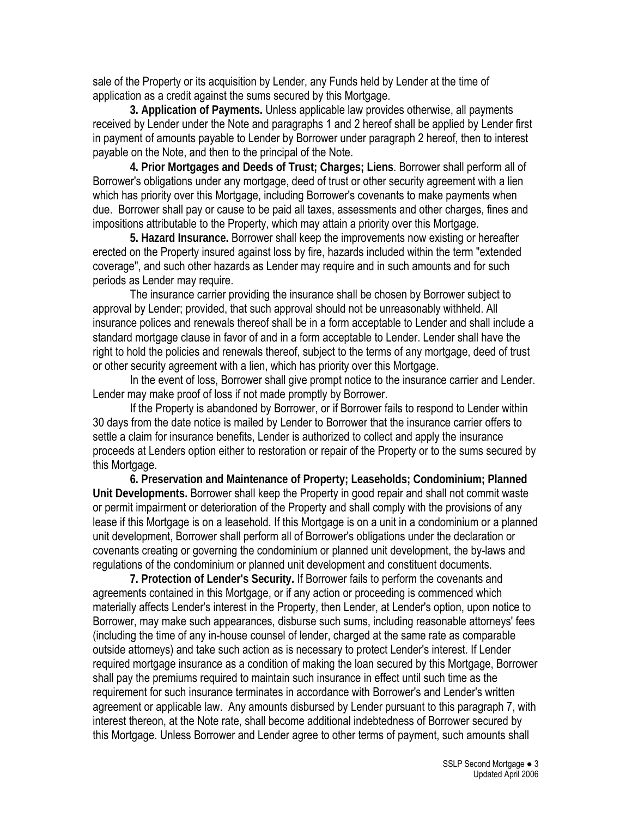sale of the Property or its acquisition by Lender, any Funds held by Lender at the time of application as a credit against the sums secured by this Mortgage.

**3. Application of Payments.** Unless applicable law provides otherwise, all payments received by Lender under the Note and paragraphs 1 and 2 hereof shall be applied by Lender first in payment of amounts payable to Lender by Borrower under paragraph 2 hereof, then to interest payable on the Note, and then to the principal of the Note.

**4. Prior Mortgages and Deeds of Trust; Charges; Liens**. Borrower shall perform all of Borrower's obligations under any mortgage, deed of trust or other security agreement with a lien which has priority over this Mortgage, including Borrower's covenants to make payments when due. Borrower shall pay or cause to be paid all taxes, assessments and other charges, fines and impositions attributable to the Property, which may attain a priority over this Mortgage.

**5. Hazard Insurance.** Borrower shall keep the improvements now existing or hereafter erected on the Property insured against loss by fire, hazards included within the term "extended coverage", and such other hazards as Lender may require and in such amounts and for such periods as Lender may require.

The insurance carrier providing the insurance shall be chosen by Borrower subject to approval by Lender; provided, that such approval should not be unreasonably withheld. All insurance polices and renewals thereof shall be in a form acceptable to Lender and shall include a standard mortgage clause in favor of and in a form acceptable to Lender. Lender shall have the right to hold the policies and renewals thereof, subject to the terms of any mortgage, deed of trust or other security agreement with a lien, which has priority over this Mortgage.

In the event of loss, Borrower shall give prompt notice to the insurance carrier and Lender. Lender may make proof of loss if not made promptly by Borrower.

If the Property is abandoned by Borrower, or if Borrower fails to respond to Lender within 30 days from the date notice is mailed by Lender to Borrower that the insurance carrier offers to settle a claim for insurance benefits, Lender is authorized to collect and apply the insurance proceeds at Lenders option either to restoration or repair of the Property or to the sums secured by this Mortgage.

**6. Preservation and Maintenance of Property; Leaseholds; Condominium; Planned Unit Developments.** Borrower shall keep the Property in good repair and shall not commit waste or permit impairment or deterioration of the Property and shall comply with the provisions of any lease if this Mortgage is on a leasehold. If this Mortgage is on a unit in a condominium or a planned unit development, Borrower shall perform all of Borrower's obligations under the declaration or covenants creating or governing the condominium or planned unit development, the by-laws and regulations of the condominium or planned unit development and constituent documents.

**7. Protection of Lender's Security.** If Borrower fails to perform the covenants and agreements contained in this Mortgage, or if any action or proceeding is commenced which materially affects Lender's interest in the Property, then Lender, at Lender's option, upon notice to Borrower, may make such appearances, disburse such sums, including reasonable attorneys' fees (including the time of any in-house counsel of lender, charged at the same rate as comparable outside attorneys) and take such action as is necessary to protect Lender's interest. If Lender required mortgage insurance as a condition of making the loan secured by this Mortgage, Borrower shall pay the premiums required to maintain such insurance in effect until such time as the requirement for such insurance terminates in accordance with Borrower's and Lender's written agreement or applicable law. Any amounts disbursed by Lender pursuant to this paragraph 7, with interest thereon, at the Note rate, shall become additional indebtedness of Borrower secured by this Mortgage. Unless Borrower and Lender agree to other terms of payment, such amounts shall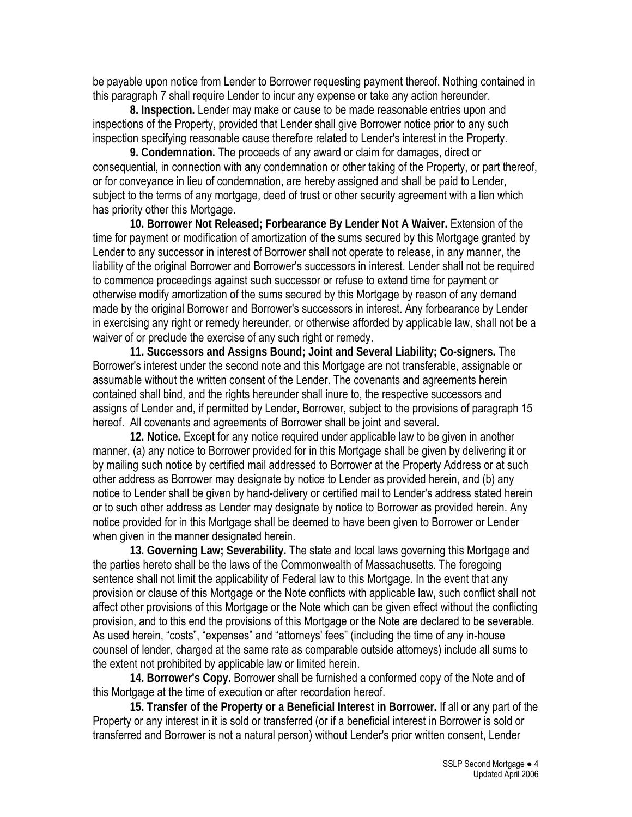be payable upon notice from Lender to Borrower requesting payment thereof. Nothing contained in this paragraph 7 shall require Lender to incur any expense or take any action hereunder.

 **8. Inspection.** Lender may make or cause to be made reasonable entries upon and inspections of the Property, provided that Lender shall give Borrower notice prior to any such inspection specifying reasonable cause therefore related to Lender's interest in the Property.

**9. Condemnation.** The proceeds of any award or claim for damages, direct or consequential, in connection with any condemnation or other taking of the Property, or part thereof, or for conveyance in lieu of condemnation, are hereby assigned and shall be paid to Lender, subject to the terms of any mortgage, deed of trust or other security agreement with a lien which has priority other this Mortgage.

**10. Borrower Not Released; Forbearance By Lender Not A Waiver.** Extension of the time for payment or modification of amortization of the sums secured by this Mortgage granted by Lender to any successor in interest of Borrower shall not operate to release, in any manner, the liability of the original Borrower and Borrower's successors in interest. Lender shall not be required to commence proceedings against such successor or refuse to extend time for payment or otherwise modify amortization of the sums secured by this Mortgage by reason of any demand made by the original Borrower and Borrower's successors in interest. Any forbearance by Lender in exercising any right or remedy hereunder, or otherwise afforded by applicable law, shall not be a waiver of or preclude the exercise of any such right or remedy.

**11. Successors and Assigns Bound; Joint and Several Liability; Co-signers.** The Borrower's interest under the second note and this Mortgage are not transferable, assignable or assumable without the written consent of the Lender. The covenants and agreements herein contained shall bind, and the rights hereunder shall inure to, the respective successors and assigns of Lender and, if permitted by Lender, Borrower, subject to the provisions of paragraph 15 hereof. All covenants and agreements of Borrower shall be joint and several.

**12. Notice.** Except for any notice required under applicable law to be given in another manner, (a) any notice to Borrower provided for in this Mortgage shall be given by delivering it or by mailing such notice by certified mail addressed to Borrower at the Property Address or at such other address as Borrower may designate by notice to Lender as provided herein, and (b) any notice to Lender shall be given by hand-delivery or certified mail to Lender's address stated herein or to such other address as Lender may designate by notice to Borrower as provided herein. Any notice provided for in this Mortgage shall be deemed to have been given to Borrower or Lender when given in the manner designated herein.

**13. Governing Law; Severability.** The state and local laws governing this Mortgage and the parties hereto shall be the laws of the Commonwealth of Massachusetts. The foregoing sentence shall not limit the applicability of Federal law to this Mortgage. In the event that any provision or clause of this Mortgage or the Note conflicts with applicable law, such conflict shall not affect other provisions of this Mortgage or the Note which can be given effect without the conflicting provision, and to this end the provisions of this Mortgage or the Note are declared to be severable. As used herein, "costs", "expenses" and "attorneys' fees" (including the time of any in-house counsel of lender, charged at the same rate as comparable outside attorneys) include all sums to the extent not prohibited by applicable law or limited herein.

**14. Borrower's Copy.** Borrower shall be furnished a conformed copy of the Note and of this Mortgage at the time of execution or after recordation hereof.

**15. Transfer of the Property or a Beneficial Interest in Borrower.** If all or any part of the Property or any interest in it is sold or transferred (or if a beneficial interest in Borrower is sold or transferred and Borrower is not a natural person) without Lender's prior written consent, Lender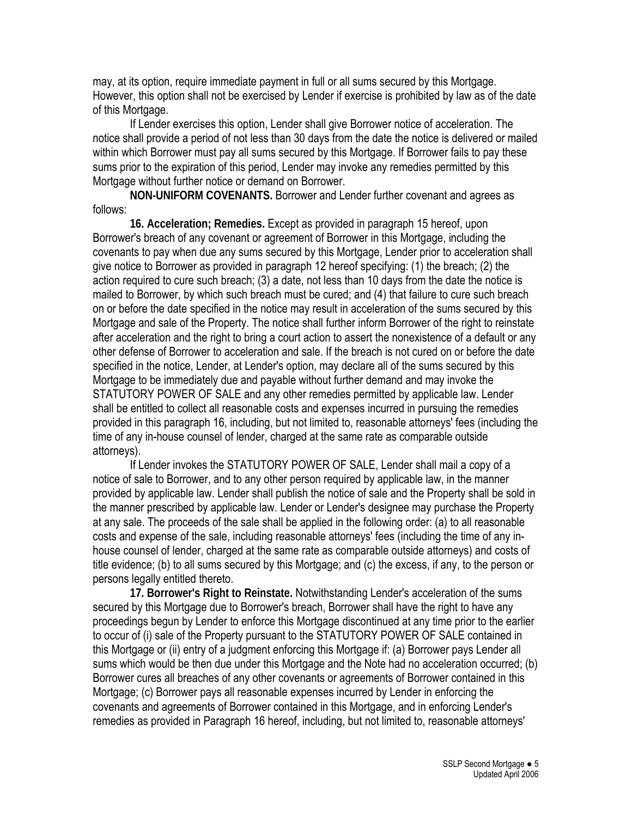may, at its option, require immediate payment in full or all sums secured by this Mortgage. However, this option shall not be exercised by Lender if exercise is prohibited by law as of the date of this Mortgage.

If Lender exercises this option, Lender shall give Borrower notice of acceleration. The notice shall provide a period of not less than 30 days from the date the notice is delivered or mailed within which Borrower must pay all sums secured by this Mortgage. If Borrower fails to pay these sums prior to the expiration of this period, Lender may invoke any remedies permitted by this Mortgage without further notice or demand on Borrower.

**NON-UNIFORM COVENANTS.** Borrower and Lender further covenant and agrees as follows:

**16. Acceleration; Remedies.** Except as provided in paragraph 15 hereof, upon Borrower's breach of any covenant or agreement of Borrower in this Mortgage, including the covenants to pay when due any sums secured by this Mortgage, Lender prior to acceleration shall give notice to Borrower as provided in paragraph 12 hereof specifying: (1) the breach; (2) the action required to cure such breach; (3) a date, not less than 10 days from the date the notice is mailed to Borrower, by which such breach must be cured; and (4) that failure to cure such breach on or before the date specified in the notice may result in acceleration of the sums secured by this Mortgage and sale of the Property. The notice shall further inform Borrower of the right to reinstate after acceleration and the right to bring a court action to assert the nonexistence of a default or any other defense of Borrower to acceleration and sale. If the breach is not cured on or before the date specified in the notice, Lender, at Lender's option, may declare all of the sums secured by this Mortgage to be immediately due and payable without further demand and may invoke the STATUTORY POWER OF SALE and any other remedies permitted by applicable law. Lender shall be entitled to collect all reasonable costs and expenses incurred in pursuing the remedies provided in this paragraph 16, including, but not limited to, reasonable attorneys' fees (including the time of any in-house counsel of lender, charged at the same rate as comparable outside attorneys).

If Lender invokes the STATUTORY POWER OF SALE, Lender shall mail a copy of a notice of sale to Borrower, and to any other person required by applicable law, in the manner provided by applicable law. Lender shall publish the notice of sale and the Property shall be sold in the manner prescribed by applicable law. Lender or Lender's designee may purchase the Property at any sale. The proceeds of the sale shall be applied in the following order: (a) to all reasonable costs and expense of the sale, including reasonable attorneys' fees (including the time of any inhouse counsel of lender, charged at the same rate as comparable outside attorneys) and costs of title evidence; (b) to all sums secured by this Mortgage; and (c) the excess, if any, to the person or persons legally entitled thereto.

**17. Borrower's Right to Reinstate.** Notwithstanding Lender's acceleration of the sums secured by this Mortgage due to Borrower's breach, Borrower shall have the right to have any proceedings begun by Lender to enforce this Mortgage discontinued at any time prior to the earlier to occur of (i) sale of the Property pursuant to the STATUTORY POWER OF SALE contained in this Mortgage or (ii) entry of a judgment enforcing this Mortgage if: (a) Borrower pays Lender all sums which would be then due under this Mortgage and the Note had no acceleration occurred; (b) Borrower cures all breaches of any other covenants or agreements of Borrower contained in this Mortgage; (c) Borrower pays all reasonable expenses incurred by Lender in enforcing the covenants and agreements of Borrower contained in this Mortgage, and in enforcing Lender's remedies as provided in Paragraph 16 hereof, including, but not limited to, reasonable attorneys'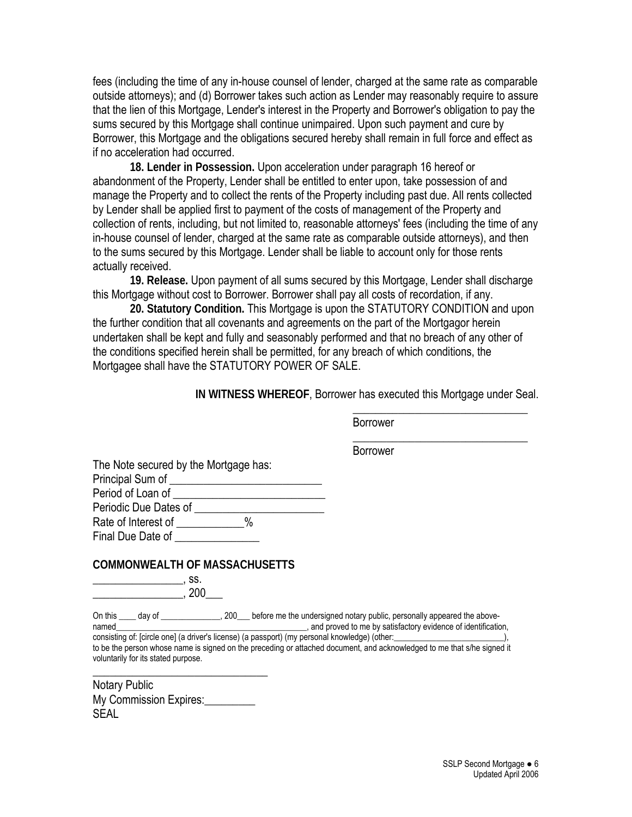fees (including the time of any in-house counsel of lender, charged at the same rate as comparable outside attorneys); and (d) Borrower takes such action as Lender may reasonably require to assure that the lien of this Mortgage, Lender's interest in the Property and Borrower's obligation to pay the sums secured by this Mortgage shall continue unimpaired. Upon such payment and cure by Borrower, this Mortgage and the obligations secured hereby shall remain in full force and effect as if no acceleration had occurred.

**18. Lender in Possession.** Upon acceleration under paragraph 16 hereof or abandonment of the Property, Lender shall be entitled to enter upon, take possession of and manage the Property and to collect the rents of the Property including past due. All rents collected by Lender shall be applied first to payment of the costs of management of the Property and collection of rents, including, but not limited to, reasonable attorneys' fees (including the time of any in-house counsel of lender, charged at the same rate as comparable outside attorneys), and then to the sums secured by this Mortgage. Lender shall be liable to account only for those rents actually received.

**19. Release.** Upon payment of all sums secured by this Mortgage, Lender shall discharge this Mortgage without cost to Borrower. Borrower shall pay all costs of recordation, if any.

**20. Statutory Condition.** This Mortgage is upon the STATUTORY CONDITION and upon the further condition that all covenants and agreements on the part of the Mortgagor herein undertaken shall be kept and fully and seasonably performed and that no breach of any other of the conditions specified herein shall be permitted, for any breach of which conditions, the Mortgagee shall have the STATUTORY POWER OF SALE.

 $\overline{\phantom{a}}$  , which is a set of the set of the set of the set of the set of the set of the set of the set of the set of the set of the set of the set of the set of the set of the set of the set of the set of the set of th

 $\frac{1}{\sqrt{2}}$  ,  $\frac{1}{\sqrt{2}}$  ,  $\frac{1}{\sqrt{2}}$  ,  $\frac{1}{\sqrt{2}}$  ,  $\frac{1}{\sqrt{2}}$  ,  $\frac{1}{\sqrt{2}}$  ,  $\frac{1}{\sqrt{2}}$  ,  $\frac{1}{\sqrt{2}}$  ,  $\frac{1}{\sqrt{2}}$  ,  $\frac{1}{\sqrt{2}}$  ,  $\frac{1}{\sqrt{2}}$  ,  $\frac{1}{\sqrt{2}}$  ,  $\frac{1}{\sqrt{2}}$  ,  $\frac{1}{\sqrt{2}}$  ,  $\frac{1}{\sqrt{2}}$ 

**IN WITNESS WHEREOF**, Borrower has executed this Mortgage under Seal.

Borrower

Borrower

The Note secured by the Mortgage has:

| Principal Sum of      |               |
|-----------------------|---------------|
| Period of Loan of     |               |
| Periodic Due Dates of |               |
| Rate of Interest of   | $\frac{0}{2}$ |
| Final Due Date of     |               |

#### **COMMONWEALTH OF MASSACHUSETTS**

 $\overline{\phantom{a}}$ , SS.  $\frac{1}{200}$ , 200

On this \_\_\_\_ day of \_\_\_\_\_\_\_\_\_\_\_\_\_\_, 200\_\_\_ before me the undersigned notary public, personally appeared the above-

named\_\_\_\_\_\_\_\_\_\_\_\_\_\_\_\_\_\_\_\_\_\_\_\_\_\_\_\_\_\_\_\_\_\_\_\_\_\_\_\_\_\_\_\_\_, and proved to me by satisfactory evidence of identification,

consisting of: [circle one] (a driver's license) (a passport) (my personal knowledge) (other:\_\_\_\_\_\_\_\_\_\_\_\_\_\_\_\_\_\_\_\_\_\_\_\_\_\_), to be the person whose name is signed on the preceding or attached document, and acknowledged to me that s/he signed it voluntarily for its stated purpose.

Notary Public My Commission Expires: SEAL

\_\_\_\_\_\_\_\_\_\_\_\_\_\_\_\_\_\_\_\_\_\_\_\_\_\_\_\_\_\_\_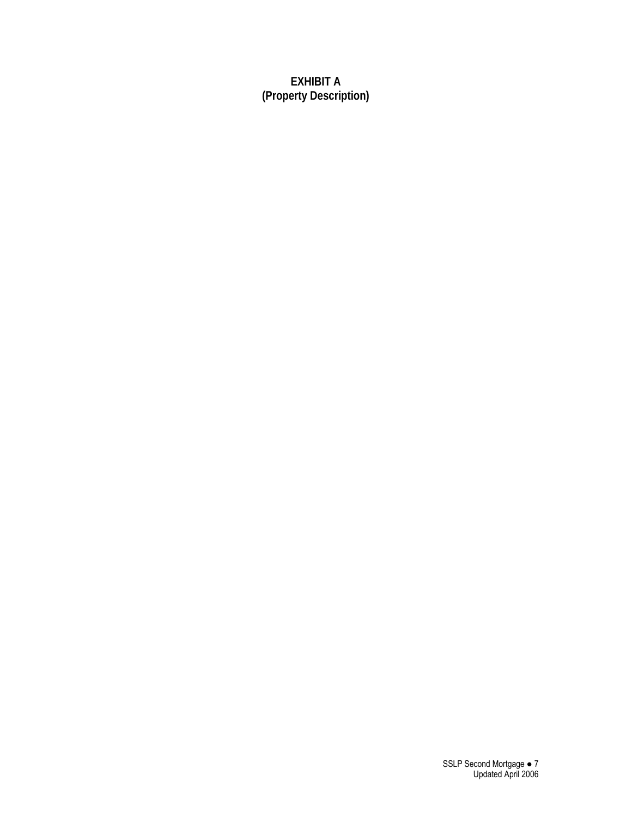## **EXHIBIT A (Property Description)**